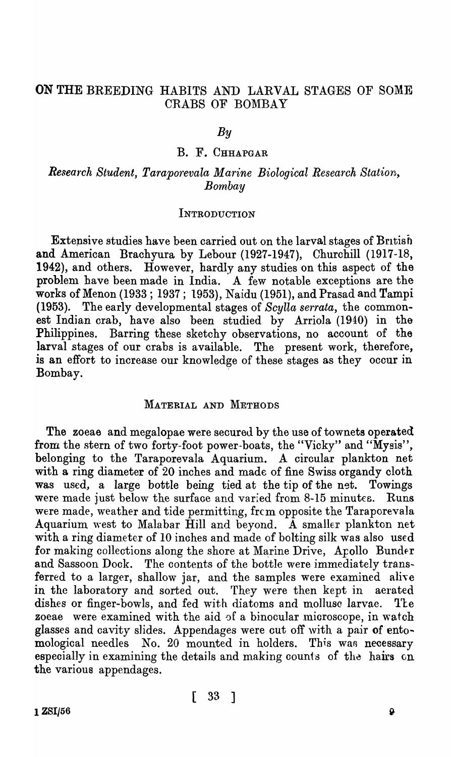# ON THE BREEDING HABITS AND LARVAL STAGES OF SOME CRABS OF BOMBAY

#### *By*

#### B. F. CHHAPGAR

## *Research Student, Taraporevala Marine Biological Research Station, Bombay*

#### INTRODUCTION

Extensive studies have been carried out on the larval stages of British and American Brachyura by Lebour (1927-1947), Churchill (1917-18, 1942), and others. However, hardly any studies on this aspect of the problem have been made in India. A few notable exceptions are the works of Menon (1933 ; 1937; 1953), Naidu (1951), and Prasad and Tampi (1953). The early developmental stages of *Scylla serrata,* the commonest Indian crab, have also been studied by Arriola (1940) in the Philippines. Barring these sketchy observations, no account of the larval stages of our crabs is available. The present work, therefore, is an effort to increase our knowledge of these stages as they occur in Bombay.

#### MATERIAL AND METHODS

The zoeae and megalopae were secured by the use of townets operated from the stern of two forty-foot power-boats, the "Vicky" and "Mysis", belonging to the Taraporevala Aquarium. A circular plankton net with a ring diameter of 20 inches and made of fine Swiss organdy cloth was used, a large bottle being tied at the tip of the net. Towings were made just below the surface and varied from 8-15 minutes. Runs were made, weather and tide permitting, frem opposite the Taraporevala Aquarium west to Malabar Hill and beyond. A smaller plankton net with a ring diameter of 10 inches and made of bolting silk was also used for making collections along the shore at Marine Drive, Apollo Bunder and Sassoon Dock. The contents of the bottle were immediately transferred to a larger, shallow jar, and the samples were examined alive in the laboratory and sorted out. They were then kept in aerated dishes or finger-bowls, and fed with diatoms and molluse larvae. The zoeae were examined with the aid of a binocular microscope, in watch glasses and cavity slides. Appendages were cut off with a pair of entomological needles No. 20 mounted in holders. This was necessary especially in examining the details and making counts of the hairs on the various appendages.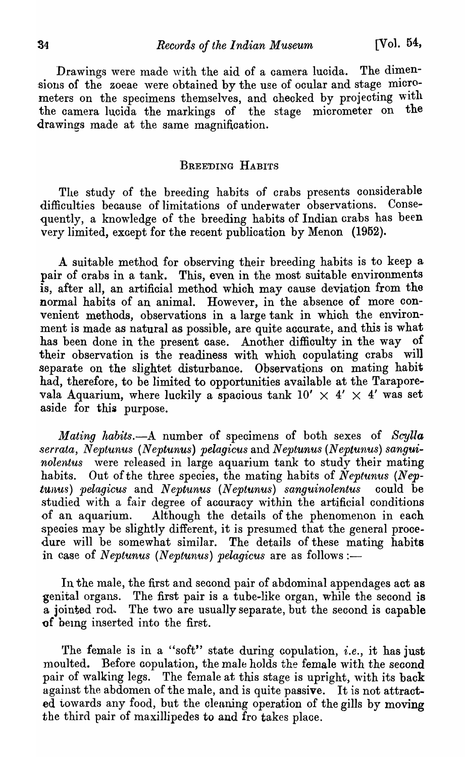Drawings were made with the aid of a camera lucida. The dimensions of the zoeae were obtained by the use of ocular and stage micrometers on the specimens themselves, and checked by projecting with<br>the camera lucida the markings of the stage micrometer on the the camera lucida the markings of the stage micrometer on drawings made at the same magnifioation.

#### BREEDING HABITS

The study of the breeding habits of crabs presents considerable difficulties because of limitations of underwater observations. Consequently, a knowledge of the breeding habits of Indian crabs has been very limited, except for the recent publication by Menon (1952).

A suitable method for observing their breeding habits is to keep a pair of crabs in a tank. This, even in the most suitable environments is, after all, an artificial method which may cause deviation from the normal habits of an animal. However, in the absence of more convenient methods, observations in a large tank in whioh the environment is made as natural as possible, are quite accurate, and this is what has been done in the present oase. Another diffioulty in the way of their observation is the readiness with which copulating orabs will separate on the slightet disturbance. Observations on mating habit had, therefore, to be limited to opportunities available at the Taraporevala Aquarium, where luckily a spacious tank  $10' \times 4' \times 4'$  was set aside for this purpose.

*Mating habits.*--A number of specimens of both sexes of *Scylla* serrata, Neptunus (Neptunus) pelagicus and Neptunus (Neptunus) sangui*nolentus* were released in large aquarium tank to study their mating habits. Out of the three species, the mating habits of *Neptunus (Neptunus) pelagicus* and *Neptunus (Neptunus) sanguinolentus* could be studied with a fair degree of acouracy within the artificial conditions of an aquarium. Although the details of the phenomenon in eaoh species may be slightly different, it is presumed that the general procedure will be somewhat similar. The details of these mating habits in case of *Neptunus (Neptunus) pelagicus* are as follows :-

In the male, the first and second pair of abdominal appendages act as genital organs. The first pair is a tube-like organ, while the second is a jointed rod.. The two are usually separate, but the second is capable of being inserted into the first.

'fhe female is in a "soft" state during copulation, *i.e.,* it has just moulted. Before copulation, the male holds the female with the second pair of walking legs. The female at this stage is upright, with its back against the abdomen of the male, and is quite passive. It is not attracted towards any food, but the cleaning operation of the gills by moving the third pair of maxillipedes to and fro takes place.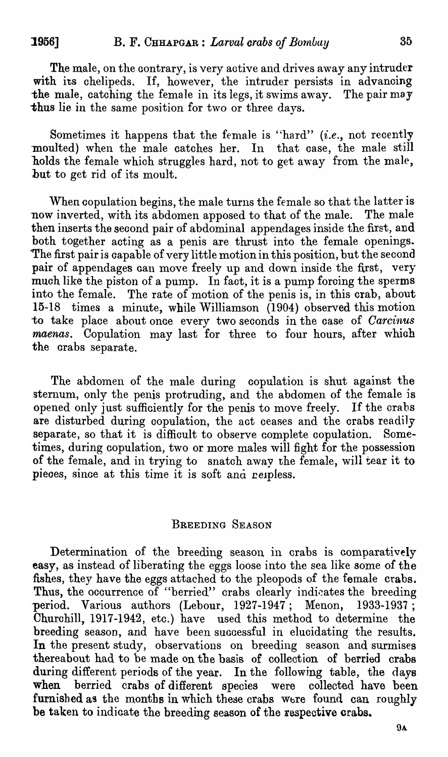The male, on the contrary, is very active and drives away any intruder with its chelipeds. If, however, the intruder persists in advancing the male, catching the female in its legs, it swims away. The pair may thus lie in the same position for two or three days.

Sometimes it happens that the female is "hard" (*i.e.*, not recently moulted) when the male catches her. In that case, the male still holds the female which struggles hard, not to get away from the male, but to get rid of its moult.

When copulation begins, the male turns the female so that the latter is<br>v inverted, with its abdomen apposed to that of the male. The male now inverted, with its abdomen apposed to that of the male. then inserts the second pair of abdominal appendages inside the first, and both together acting as a penis are thrust into the female openings. The first pair is capable of very little motion in this position, but the second pair of appendages can move freely up and down inside the first, very much like the piston of a pump. In fact, it is a pump forcing the sperms into the female. The rate of motion of the penis is, in this crab, about 15-18 times a minute, while Williamson (1904) observed this motion to take plaoe about onae every two seconds in the case of *Carcinus maenas.* Copulation may last for three to four hours, after which the orabs separate.

The abdomen of the male during copulation is shut against the sternum, only the penis protruding, and the abdomen of the female is opened only just suffioiently for the penis to move freely. If the crabs are disturbed during oopulation, the aot ceases and the crabs readily separate, so that it is difficult to observe complete copulation. Sometimes, during copulation, two or more males will fight for the possession of the female, and in trying to snatch away the female, will tear it to pieces, since at this time it is soft and reipless.

## BREEDING SEASON

Determination of the breeding season, in crabs is oomparatively easy, as instead of liberating the eggs loose into the sea like some of the fishes, they have the eggs attached to the pleopods of the female crabs. Thus, the occurrence of "berried" crabs clearly indicates the breeding period. Various authors (Lebour, 1927-1947; Menon, 1933-1937; Churohill, 1917-1942, eto.) have used this method to determine the breeding season, and have been successful in elucidating the results. In the present study, observations on breeding season and surmises thereabout had to be made on tbe basis of collection of berried crabs during different periods of the year. In the following table, the days when berried crabs of different species were collected have been furnished as the months in which these crabs were found can roughly be taken to indicate the breeding season of the respective crabs.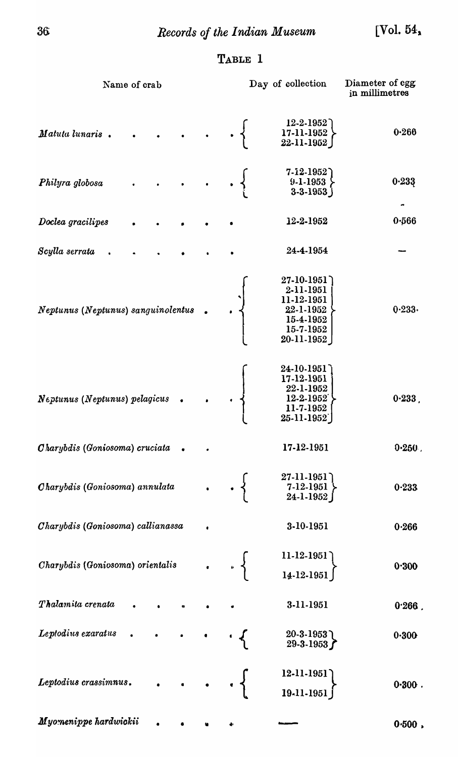# TABLE 1

| Name of crab                       |  | Day of collection |                                                                                                                          | Diameter of egg<br>in millimetres |
|------------------------------------|--|-------------------|--------------------------------------------------------------------------------------------------------------------------|-----------------------------------|
| Matuta lunaris.                    |  |                   | $12 - 2 - 1952$<br>$\begin{bmatrix} 17 - 11 - 1952 \\ 22 - 11 - 1952 \end{bmatrix}$                                      | 0.266                             |
| Philyra globosa                    |  |                   | $\left. \begin{array}{c} 7\text{-}12\text{-}1952 \ 9\text{-}1\text{-}1953 \ 3\text{-}3\text{-}1953 \end{array} \right\}$ | 0.233                             |
| Doclea gracilipes                  |  |                   | 12-2-1952                                                                                                                | 0.566                             |
| Scylla serrata                     |  |                   | 24-4-1954                                                                                                                |                                   |
| Neptunus (Neptunus) sanguinolentus |  |                   | $27-10-1951$<br>2-11-1951<br>11-12-1951<br>22-1-1952<br>15-4-1952<br>15-7-1952<br>$20 - 11 - 1952$                       | 0.233.                            |
| Neptunus (Neptunus) pelagicus      |  |                   | 24-10-1951<br>17-12-1951<br>22-1-1952<br>12-2-1952<br>11-7-1952<br>$25 - 11 - 1952$                                      | 0.233                             |
| Charybdis (Goniosoma) cruciata     |  |                   | 17-12-1951                                                                                                               | 0.250.                            |
| Charybdis (Goniosoma) annulata     |  | $\cdot$ }         | 27-11-1951<br>$7-12-1951$<br>24-1-1952                                                                                   | 0.233                             |
| Charybdis (Goniosoma) callianassa  |  |                   | 3-10-1951                                                                                                                | 0.266                             |
| Charybdis (Goniosoma) orientalis   |  | $\cdot$ 3         | $11-12-1951$<br>$14-12-1951$                                                                                             | 0.300                             |
| Thalamita crenata                  |  |                   | 3-11-1951                                                                                                                | $0.266$ .                         |
| Leptodius exaratus                 |  |                   | $20-3-1953$<br>29-3-1953                                                                                                 | 0.300                             |
| Leptodius crassimnus.              |  |                   | $12 - 11 - 1951$<br>19-11-1951                                                                                           | 0.300.                            |
| Myomenippe hardwickii              |  |                   |                                                                                                                          | $0.500$ ,                         |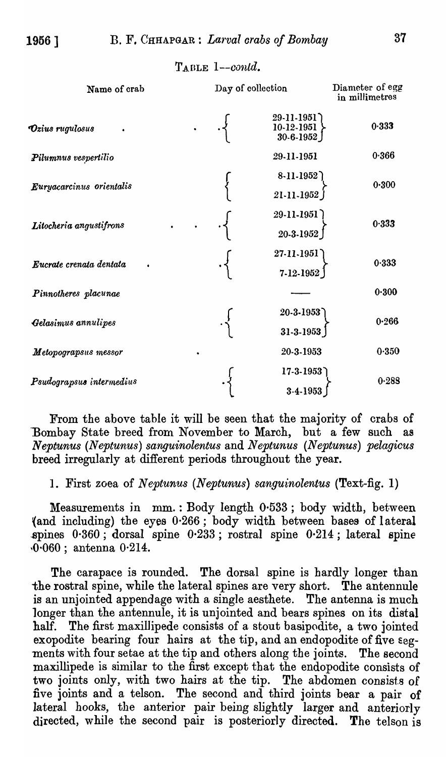TABLE 1-contd.

| Name of crab                            | Day of collection |  |                                           | Diameter of egg<br>in millimetres |
|-----------------------------------------|-------------------|--|-------------------------------------------|-----------------------------------|
| $\boldsymbol{\vartheta}$ zius rugulosus |                   |  | 29-11-1951<br>$10-12-1951$<br>$30-6-1952$ | 0.333                             |
| Pilumnus vespertilio                    |                   |  | 29-11-1951                                | 0.366                             |
| Euryacarcinus orientalis                |                   |  | $8 - 11 - 1952$<br>21-11-1952             | 0.300                             |
| Litocheria angustifrons                 |                   |  | 29-11-1951<br>$20-3-1952$                 | 0.333                             |
| Eucrate crenata dentata                 |                   |  | 27-11-1951<br>$7 - 12 - 1952$             | 0.333                             |
| Pinnotheres placunae                    |                   |  |                                           | 0.300                             |
| Gelasimus annulipes                     |                   |  | 20-3-1953<br>$31-3-1953$                  | 0.266                             |
| Metopograpsus messor                    |                   |  | 20-3-1953                                 | 0.350                             |
| Psudograpsus intermedius                |                   |  | $17 - 3 - 1953$<br>3-4-1953               | 0.288                             |

From the above table it will be seen that the majority of crabs of Bombay State breed from November to March, but a few such *Neptunus (Neptunus) sanguinolentus* and *Neptunus (Neptunus) pelagicus*  breed irregularly at different periods throughout the year.

1. First zoea of *Neptunus (Neptunus) sanguinolentus* (Text-fig. 1)

Measurements in mm.: Body length 0.533; body width, between (and including) the eyes 0·266; body width between bases of lateral spines  $0.360$ ; dorsal spine  $0.233$ ; rostral spine  $0.214$ ; lateral spine ,0-060; antenna 0·214.

The carapace is rounded. The dorsal spine is hardly longer than the rostral spine, while the lateral spines are very short. The antennule is an unjointed appendage with a single aesthete. The antenna is much longer than the antennule, it is unjointed and bears spines on its distal half. The first maxillipede consists of a stout basipodite, a two jointed exopodite bearing four hairs at the tip, and an endopodite of five segments with four setae at the tip and others along the joints. The second maxillipede is similar to the first except that the endopodite consists of two joints only, with two hairs at the tip. The abdomen consists of five joints and a telson. The second and third joints bear a pair of lateral hooks, the anterior pair being slightly larger and anteriorly directed, while the second pair is posteriorly directed. The telson is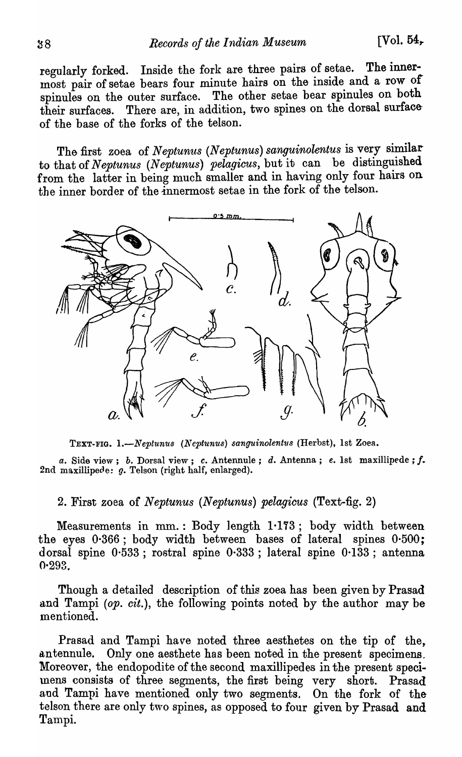regularly forked. Inside the fork are three pairs of setae. The innermost pair of setae bears four minute hairs on the inside and a row of spinules on the outer surface. The other setae bear spinules on both their surfaces. There are, in addition, two spines on the dorsal surfaceof the base of the forks of the telson.

The first zoea of *Neptunus* (Neptunus) sanguinolentus is very similar to that of *Neptunus (Neptunus) pelagicus*, but it can be distinguished from the latter in being much smaller and in having only four hairs on the inner border of the innermost setae in the fork of the telson.



TEXT-FIG. 1.-Neptunus (Neptunus) sanguinolentus (Herbst), 1st Zoea.

*a.* Side view; b. Dorsal view; *c.* Antennule; d. Antenna; *e.* 1st maxillipede; f. 2nd maxillipede:  $g$ . Telson (right half, enlarged).

2. First zoea of *Neptunus (Neptunus) pelagicus* (Text-fig. 2)

Measurements in mm.: Body length  $1.173$ ; body width between the eyes 0·366; body width between bases of lateral spines 0-500; dorsal spine 0·533; rostral spine 0·333 ; lateral spine 0·133; antenna 0-293.

Though a detailed description of this zoea has been given by Prasad and Tampi *(op. cit.),* the following points noted by the author may be mentioned.

Prasad and Tampi have noted three aesthetes on the tip of the. antennule. Only one aesthete has been noted in the present specimens. Moreover, the endopodite of the second maxillipedes in the present specimens consists of three segments, the first being very short. Prasad and Tampi have mentioned only two segments. On the fork of the telson there are only two spines, as opposed to four given by Prasad and Tampi.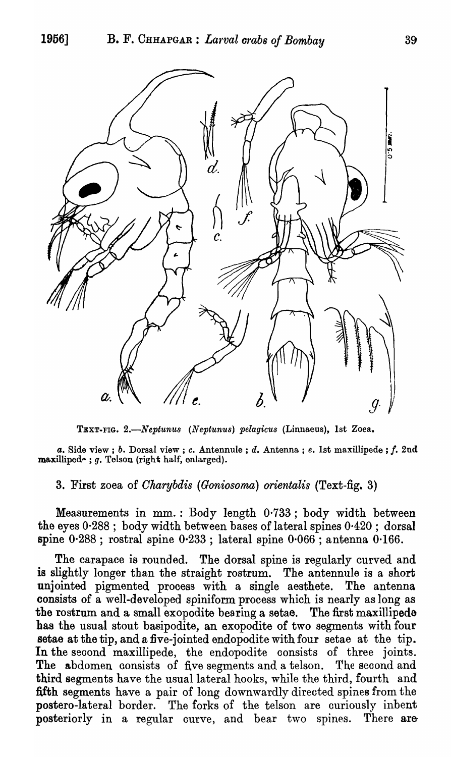

TEXT-FIG. 2.-Neptunus (Neptunus) pelagicus (Linnaeus), 1st Zoea.

*a.* Side view; b. Dorsal view; c. Antennule ; d. Antenna; *e.* 1st maxillipede ; f. 2nd  $\textbf{maxilliped-}$ ;  $g.$  Telson (right half, enlarged).

## 3. First zoea of *Oharybdis (Goniosoma) orientalis* (Text-fig. 3)

Measurements in mm. : Body length 0·733; body width between the eyes  $0.288$ ; body width between bases of lateral spines  $0.420$ ; dorsal spine 0·288 ; rostral spine 0·233 ; lateral spine 0·066 ; antenna 0·166.

The carapace is rounded. The dorsal spine is regularly curved and is slightly longer than the straight rostrum. The antennule is a short unjointed pigmented process with a single aesthete. The antenna consists of a weH-developed spiniform process which is nearly as long as the rostrum and a small exopodite bearing a setae. The first maxillipede has the usual stout basipodite, an exopodite of two segments with four setae at the tip, and a five-jointed endopodite with four setae at the tip. In the second maxillipede, the endopodite consists of three joints. The abdomen consists of five segments and a telson. The second and third segments have the usual lateral hooks, while the third, fourth and fifth segments have a pair of long downwardly direoted spines from the postero-lateral border. The forks of the telson are curiously inbent posteriorly in a regular curve, and bear two spines. There are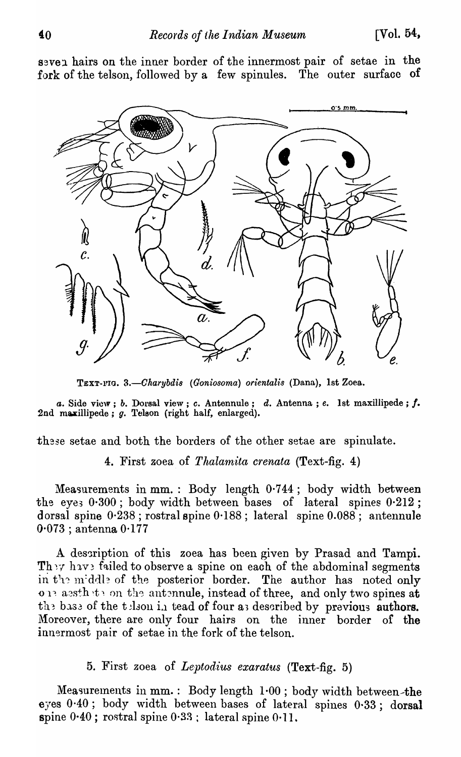seven hairs on the inner border of the innermost pair of setae in the fork of the telson, followed by a few spinules. The outer surface of



TEXT-FIG. 3.-Charybdis (Goniosoma) orientalis (Dana), 1st Zoea.

*a.* Side view; *b.* Dorsal view; *c.* Antennule; *d.* Antenna; *e.* 1st maxillipede; *f.* 2nd maxillipede; *g.* Telson (right half, enlarged).

these setae and both the borders of the other setae are spinulate.

4. First zoea of *Thalam'ita crenata* (Text-fig. 4)

Measurements in mm.: Body length 0·744; body width between the eyes 0.300; body width between bases of lateral spines 0.212; dorsal spine  $0.238$ ; rostral spine  $0.188$ ; lateral spine  $0.088$ ; antennule 0·073 ; antenna 0·177

A description of this zoea has been given by Prasad and Tampi. They have failed to observe a spine on each of the abdominal segments in the middle of the posterior border. The author has noted only on assthate on the antennule, instead of three, and only two spines at the base of the tell in tead of four as described by previous authors. Moreover, there are only four hairs on the inner border of the innermost pair of setae in the fork of the telson.

5. First zoea of *Leptodius exaratus* (Text-fig. 5)

Measurements in mm.: Body length  $1.00$ ; body width between-the eyes 0·40; body width between bases of lateral spines 0·33; dorsal spine 0·40; rostral spine 0·33 ; lateral spine 0·11.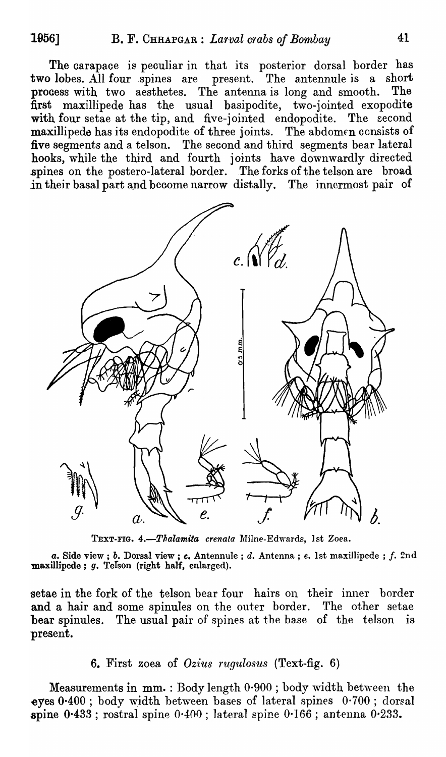The carapace is peculiar in that its posterior dorsal border has two lobes. All four spines are present. The antennule is a short process with two aesthetes. The antenna is long and smooth. The first maxillipede has the usual basipodite, two-jointed exopodite with four setae at the tip, and five-jointed endopodite. The second maxillipede has its endopodite of three joints. The abdomen consists of five segments and a telson. The seoond and third segments bear lateral hooks, while the third and fourth joints have downwardly directed spines on the postero-lateral border. The forks of the telson are broad in their basal part and become narrow distally. The innermost pair of



TEXT-FIG. 4.-Thalamita crenata Milne-Edwards, 1st Zoea.

*a.* Side view; *b.* Dorsal view; *c.* Antennule; *d.* Antenna; *e.* 1st maxillipede; *f.* 2nd  $maxillipede; g. Tefson (right half, enlarged).$ 

setae in the fork of the telson bear four hairs on their inner border and a hair and some spinules on the outer border. The other setae bear spinules. The usual pair of spines at the base of the telson is present.

# 6. First zoea of *Ozius rugulosus* (Text-fig. 6)

Measurements in  $mm.$ : Body length  $0.900$ ; body width between the eyes  $0.400$ ; body width between bases of lateral spines  $0.700$ ; dorsal spine  $0.433$ ; rostral spine  $0.400$ ; lateral spine  $0.166$ ; antenna  $0.233$ .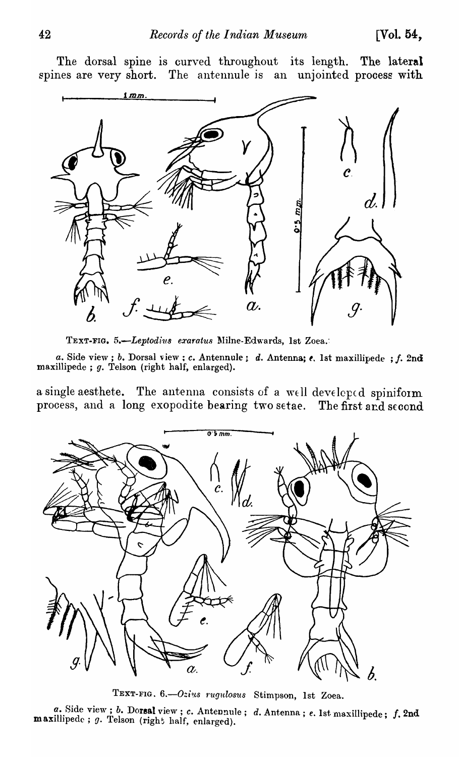The dorsal spine is curved throughout its length. The lateral spines are very short. The antennule is an unjointed process with



TEXT-FIG. 5.-Leptodius exaratus Milne-Edwards, 1st Zoea.

*a.* Side view; *b.* Dorsal view; *c.* Antennule; *d.* Antenna; *e.* 1st maxillipede; *f.* 2nd maxillipede ; g. Telson (right half, enlarged).

a single aesthete. The antenna consists of a well developed spiniform process, and a long exopodite bearing two setae. The first and second



TEXT-FIG. 6.-Ozius *rugulosus* Stimpson, 1st Zoea.

a. Side view; *b.* Dorsal view; *c. Antennule; d. Antenna; e. 1st maxillipede; f. 2nd*  $m$ axillipede;  $g$ . Telson (right half, enlarged).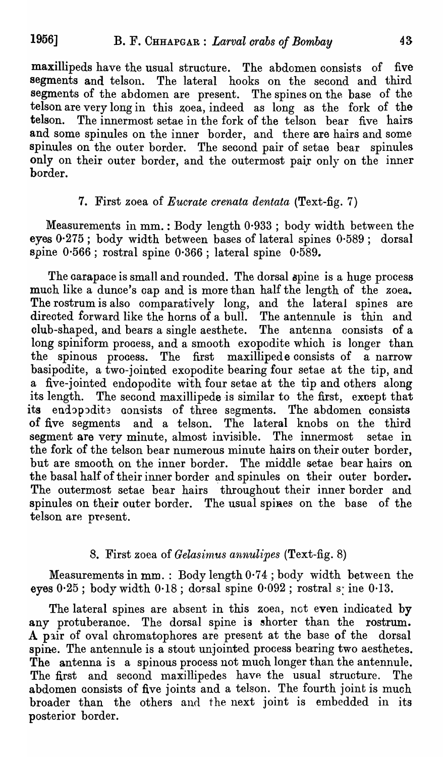maxillipeds have the usual structure. The abdomen consists of five segments and telson. The lateral hooks on the second and third segments of the abdomen are present. The spines on the base of the telson are very long in this zoea, indeed as long as the fork of the telson. The innermost setae in the fork of the telson bear five hairs and some spinules on the inner border, and there are hairs and some spinules on the outer border. The second pair of setae bear spinules only on their outer border, and the outermost pair only on the inner border.

# 7. First zoea of *Eucrate crenata dentata* (Text-fig. 7)

Measurements in mm. : Body length 0·933 ; body width between the eyes 0·275; body width between bases of lateral spines 0·589; dorsal spine 0·566 ; rostral spine 0·366 ; lateral spine 0·589.

The carapace is small and rounded. The dorsal spine is a huge process much like a dunce's cap and is more than half the length of the zoea. The rostrum is also comparatively long, and the lateral spines are directed forward like the horns of a bull. The antennule is thin and club-shaped, and bears a single aesthete. The antenna consists of a long spiniform process, and a smooth exopodite which is longer than the spinous process. The first maxillipede consists of a narrow basipodite, a two-jointed exopodite bearing four setae at the tip, and a five-jointed endopodite with four setae at the tip and others along its length. The second maxillipede is similar to the first, except that its endopodite consists of three segments. The abdomen consists of five segments and a telson. The lateral knobs on the third of five segments and a telson. segment are very minute, almost invisible. The innermost setae in the fork of the telson bear numerous minute hairs on their outer border, but are smooth on the inner border. The middle setae bear hairs on the basal half of their inner border and spinules on their outer border. The outermost setae bear hairs throughout their inner border and spinules on their outer border. The usual spiaes on the base of the telson are present.

# 8. First zoea of *Gelasirnus annulipes* (Text-fig. 8)

Measurements in  $mm.:$  Body length  $0.74$ ; body width between the eyes  $0.25$ ; body width  $0.18$ ; dorsal spine  $0.092$ ; rostral s: ine  $0.13$ .

The lateral spines are absent in this zoea, not even indicated by any protuberance. The dorsal spine is shorter than the rostrum. A pair of oval chromatophores are present at the base of the dorsal spine. The antennule is a stout unjointed process bearing two aesthetes. The antenna is a spinous process not much longer than the antennule. The first and second maxillipedes have the usual structure. The abdomen consists of five joints and a telson. The fourth joint is much broader than the others and the next joint is embedded in its posterior border.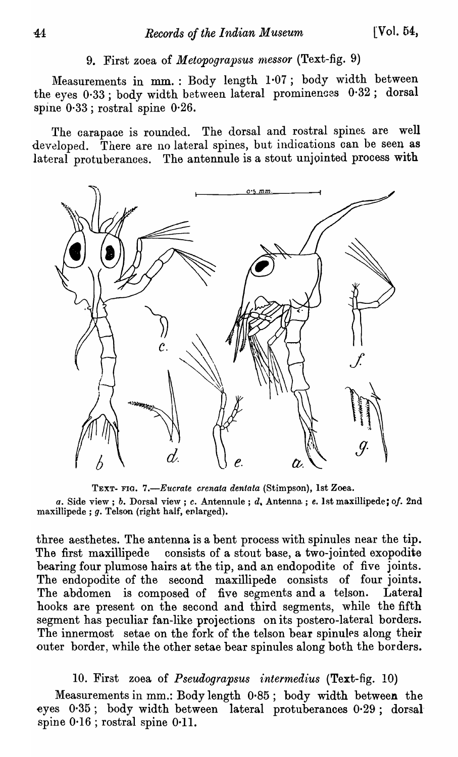# 9. First zoea of *Metopograpsus messor* (Text-fig. 9)

Measurements in mm. : Body length 1.07; body width between the eyes 0.33; body width between lateral prominences 0.32; dorsal spine 0·33 ; rostral spine 0·26.

The carapace is rounded. The dorsal and rostral spines are well developed. There are no lateral spines, but indioations can be seen as lateral protuberances. The antennule is a stout unjointed process with



TEXT- FIG. *7.-Eucrate crenata dentata* (Stimpson), 1st Zoea. *a.* Side view; *b.* Dorsal view; c. Antennule ; d. Antenna. ; *e.* 1 fit maxilIipede; *0/.* 2nd maxillipede ;  $g$ . Telson (right half, enlarged).

three aesthetes. The antenna is a bent process with spinules near the tip. The first maxillipede consists of a stout base, a two-jointed exopodite bearing four plumose hairs at the tip, and an endopodite of five joints. The endopodite of the second maxillipede consists of four joints. The abdomen is composed of five segments and a telson. Lateral hooks are present on the second and third segments, while the fifth segment has peculiar fan-like projections on its postero-Iateral borders. The innermost setae on the fork of the telson bear spinules along their outer border, while the other setae bear spinules along both the borders.

### 10. First zoea of *Pseudograpsus intermed'ius* (Text-fig. 10)

Measurements in mm.: Body length 0·85; body width between the eyes 0·35; body width between lateral protuberances 0·29; dorsal spine  $0.16$ ; rostral spine  $0.11$ .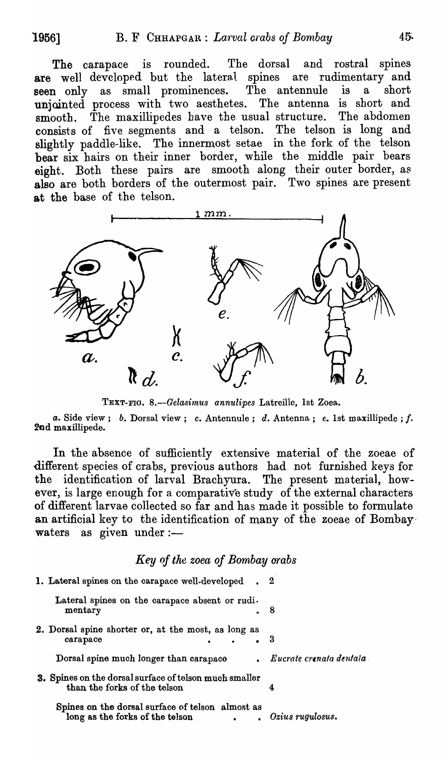The carapace is rounded. The dorsal and rostral spines are well developed but the lateral spines are rudimentary and seen only as small prominences. The antennule is a short seen only as small prominences. The antennule is a short unjointed process with two aesthetes. The antenna is short and smooth. The maxillipedes have the usual structure. The abdomen smooth. The maxillipedes have the usual structure. consists of five segments and a telson. The telson is long and slightly paddle-like. The innermost setae in the fork of the telson bear six hairs on their inner border, while the middle pair bears eight. Both these pairs are smooth along their outer border, as also are both borders of the outermost pair. Two spines are present at the base of the telson.



TEXT-FIO. *8.-Gelasimus annulipes* Latreille, 1st Zoea.

*a.* Side view; b. Dorsal view; *c.* Antennule; d. Antenna; *e.* 1st maxillipede ; f. 2nd maxillipede.

In the absence of sufficiently extensive material of the zoeae of different species of crabs, previous authors had not furnished keys for the identification of larval Brachyura. The present material, however, is large enough for a comparative study of the external characters of different larvae collected so far and has made it possible to formulate an artificial key to the identification of many of the zoeae of Bombay' waters as given under: $-$ 

#### *Key of the zoea of Bombay arabs*

| 1. Lateral spines on the carapace well-developed. 2                                    |                                        |
|----------------------------------------------------------------------------------------|----------------------------------------|
| Lateral spines on the carapace absent or rudi.<br>mentary<br>. 8                       |                                        |
| 2. Dorsal spine shorter or, at the most, as long as<br>carapace                        | - 3                                    |
| Dorsal spine much longer than carapace                                                 | $\blacksquare$ Eucrate crenata dentala |
| 3. Spines on the dorsal surface of telson much smaller<br>than the forks of the telson | 4                                      |
| Spines on the dorsal surface of telson almost as<br>long as the forks of the telson    | Ozius rugulosus.                       |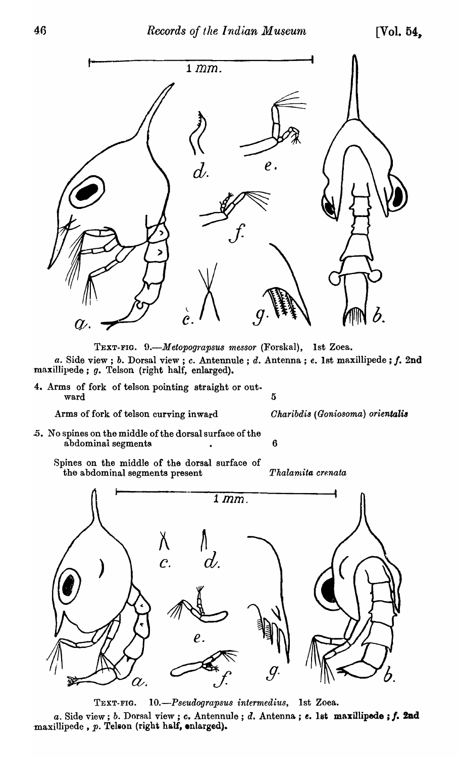

TEXT-FlO. *9.-M etopograpsU8 messor* (Forskal), 1st Zoea. a. Side view; *b.* Dorsal view; *c.* Antennule; *d.* Antenna; *e.* 1st maxillipede; *f.* 2nd -maxillipede; g. Telson (right half, enlarged).

4. Arms of fork of telson pointing straight or out-<br>ward 5

Arms of fork of telson curving inward *Charibdis (Goniosoma) orientalis* 

- .5. No spines on the middle of the dorsal surface of the abdominal segments and the contract of  $\sim$  6
	- Spines on the middle of the dorsal surface of the abdominal segments present *Thalarnita crenata*



TEXT-FlO. *10.-Pseudograpsus intermedius,* 1st Zoea.

a. Side view; *b.* Dorsal view; *c.* Antennule; *d.* Antenna; *e.* 1st maxillipede; f. 2nd  $maxillipede$ ,  $p.$  Telson (right half, enlarged).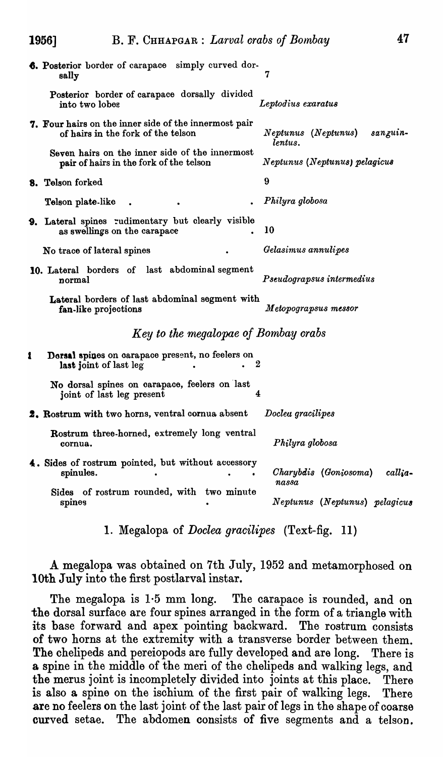|   | <b>6.</b> Posterior border of carapace simply curved dor-<br>sally                          | 7                                          |
|---|---------------------------------------------------------------------------------------------|--------------------------------------------|
|   | Posterior border of carapace dorsally divided<br>into two lobes                             | Leptodius exaratus                         |
|   | 7. Four hairs on the inner side of the innermost pair<br>of hairs in the fork of the telson | Neptunus (Neptunus)<br>sanguin-<br>lentus. |
|   | Seven hairs on the inner side of the innermost<br>pair of hairs in the fork of the telson   | Neptunus (Neptunus) pelagicus              |
|   | 8. Telson forked                                                                            | 9                                          |
|   | Telson plate-like                                                                           | Philyra globosa                            |
|   | 9. Lateral spines rudimentary but clearly visible<br>as swellings on the carapace           | 10                                         |
|   | No trace of lateral spines                                                                  | Gelasimus annulipes                        |
|   | 10. Lateral borders of last abdominal segment<br>normal                                     | Pseudograpsus intermedius                  |
|   | Lateral borders of last abdominal segment with<br>fan-like projections                      | Metopograpsus messor                       |
|   | Key to the megalopae of Bombay crabs                                                        |                                            |
| 1 | Dorsal spines on carapace present, no feelers on<br>last joint of last leg                  | 2                                          |
|   | No dorsal spines on carapace, feelers on last<br>joint of last leg present                  | 4                                          |
|   | 2. Rostrum with two horns, ventral cornua absent                                            | Docleu gracilipes                          |
|   | Rostrum three-horned, extremely long ventral<br>cornua.                                     | Philyra globosa                            |
|   | 4. Sides of rostrum pointed, but without accessory<br>spinules.                             | Charybdis (Goniosoma)<br>callia-<br>nassa  |
|   | Sides of rostrum rounded, with two minute<br>spines                                         | Neptunus (Neptunus) pelagicus              |

1. Megalopa of *Doclea gracilipes* (Text-fig. 11)

A megalopa was obtained on 7th July, 1952 and metamorphosed on 10th July into the first postlarval instar.

The megalopa is 1·5 mm long. The carapace is rounded, and on the dorsal surface are four spines arranged in the form of a triangle with its base forward and apex pointing baokward. The rostrum consists of two horns at the extremity with a transverse border between them. The chelipeds and pereiopods are fully developed and are long. There is a spine in the middle of the meri of the ohelipeds and walking legs, and the merus joint is incompletely divided into joints at this place. There is also a spine on the isohium of the first pair of walking legs. There are no feelers on the last joint of the last pair of legs in the shape of coarse curved setae. The abdomen consists of five segments and a telson.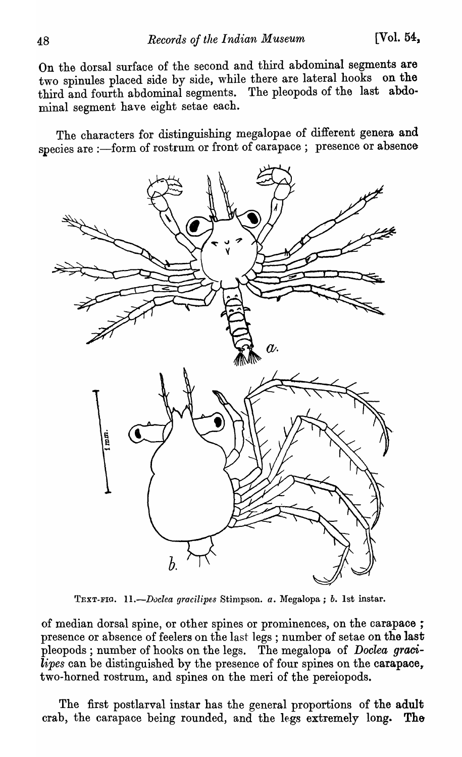On the dorsal surface of the second and third abdominal segments are two spinules placed side by side, while there are lateral hooks on the third and fourth abdominal segments. The pleopods of the last abdominal segment have eight setae each.

The characters for distinguishing megalopae of different genera and species are :- form of rostrum or front of carapace; presence or absence



TEXT-Fla. *11.-Duclea yracilipes* Stimpson. *a.* Megalopa; *b.* 1st instar.

of median dorsal spine, or other spines or prominences, on the carapace; presence or absence of feelers on the last legs; number of setae on the last pleopods ; number of hooks on the legs. The megalopa of *Doclea* graoi- $\overline{lipes}$  can be distinguished by the presence of four spines on the carapace, two-horned rostrum, and spines on the meri of the pereiopods.

The first postlarval instar has the general proportions of the adult crab, the carapace being rounded, and the legs extremely long. The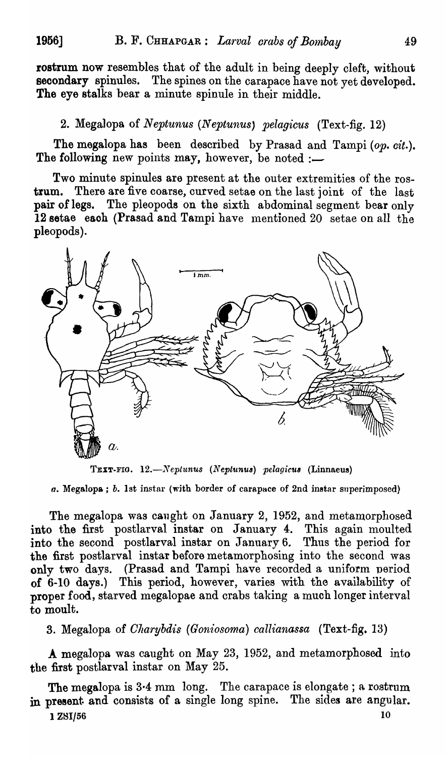rostrum now resembles that of the adult in being deeply cleft, without secondary spinules. The spines on the carapace have not yet developed. The eye stalks bear a minute spinule in their middle.

# 2. Megalopa of *Neptunus (Neptunus) pelagicus* (Text-fig. 12)

The megalopa has been described by Prasad and Tampi (op. cit.). The following new points may, however, be noted :-

Two minute spinules are present at the outer extremities of the rostrum. There are five coarse, curved setae on the last joint of the last pair of legs. The pleopods on the sixth abdominal segment bear only 12 setae each (Prasad and Tampi have mentioned 20 setae on all the pleopods).



TEXT-FIG. 12.—Neptunus (Neptunus) pelagicus (Linnaeus)

a. Megalopa; *b.* 1st instar (with border of carapace of 2nd instar superimposed)

The megalopa was caught on January 2, 1952, and metamorphosed into the first postlarval instar on January 4. This again moulted into the second postlarval instar on January 6. Thus the period for the first postlarval instar before metamorphosing into the second was only two days. (Prasad and Tampi have recorded a uniform period of 6-10 days.) This period, however, varies with the availability of proper food, starved megalopae and crabs taking a much longer interval to moult.

S. Megalopa of *Gllarybdis (Goniosoma) callianassa* (Text-fig. 13)

A megalopa was caught on May 23, 1952, and metamorphosed into the first postlarval instar on May 25.

The megalopa is 3.4 mm long. The carapace is elongate; a rostrum in present and consists of a single long spine. The sides are angular.  $1 Z8I/56$  10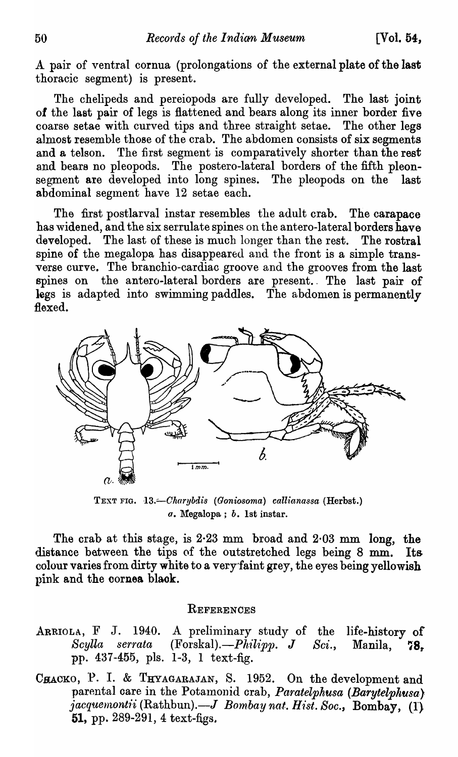A pair of ventral cornua (prolongations of the external plate of the last thoracic segment) is present.

The chelipeds and pereiopods are fully developed. The last joint of the last pair of legs is flattened and bears along its inner border five coarse setae with curved tips and three straight setae. The other legs almost resemble those of the crab. The abdomen consists of six segments and a telson. The first segment is comparatively shorter than the rest and bears no pleopods. The postero-lateral borders of the fifth pleonsegment are developed into long spines. The pleopods on the last abdominal segment have 12 setae each.

The first postlarval instar resembles the adult crab. The carapace has widened, and the six serrulate spines on the antero-lateral borders have developed. The last of these is much longer than the rest. The rostral spine of the megalopa has disappeared and the front is a simple transverse curve. The branchio-cardiac groove and the grooves from the last spines on the antero-lateral borders are present. The last pair of legs is adapted into swimming paddles. The abdomen is permanently flexed.



TEXT FIG. 13.-Charybdis (Goniosoma) callianassa (Herbst.) a. Megalopa; *b.* 1st instar.

The crab at this stage, is  $2.23$  mm broad and  $2.03$  mm long, the distance between the tips of the outstretched legs being 8 mm. Its colour varies from dirty white to a very 'faint grey, the eyes being yellowish pink and the cornea black.

#### **REFERENCES**

- ARRIOLA, F J. 1940. A preliminary study of the life-history of  $Scylla$  serrata (Forskal). $-P\ddot{h}ilipp.$  *J Sci.*, Manila, 78. pp. 437-455, pls. 1-3, 1 text-fig.
- CHACKO, P. I. & THYAGARAJAN, S. 1952. On the development and parental care in the Potamonid crab, *Paratelphusa (Barytelphusa) jacquemontii* (Rathbun).— J *Bombay nat. Hist. Soc.,* Bombay, (1) 51, pp.  $289-291$ , 4 text-figs.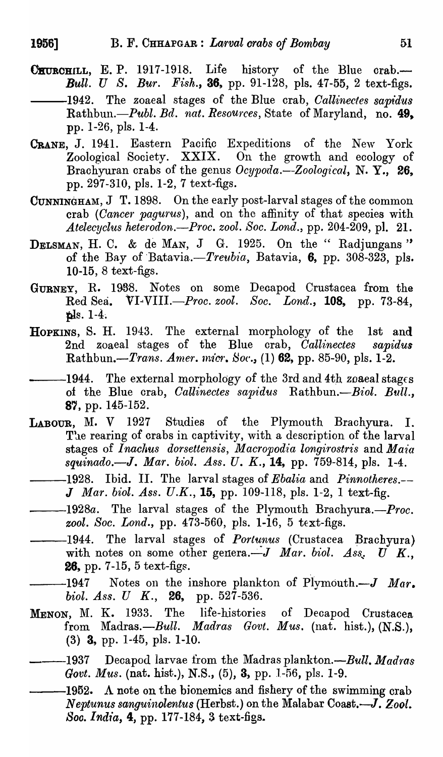- CHURCHILL, E. P. 1917-1918. Life history of the Blue crab.-*Bull. U S. Bur. Fish.,* 36, pp. 91-128, pIs. 47-55, 2 text-figs. -1942. The zoaeal stages of the Blue crab, *Callinectes sapidus Rathbun.-Publ. Bd. nat. Resources,* State of Maryland, no. 49. pp. 1-26, pIs. 1-4.
- CRANE, J. 1941. Eastern Pacific Expeditions of the New York Zoological Society.  $XXIX$ . On the growth and ecology of Brachyuran crabs of the genus *Ocypoda.*-Zoological, N. Y., 26, pp. 297-310, pIs. 1-2, 7 text-figs.
- CUNNINGHAM, J T. 1898. On the early post-larval stages of the common crab *(Cancer pagurus)*, and on the affinity of that species with *Atelecyclus heterodon.-Proc. zool. Soc. Lond.,* pp. 204-209, pI. 21.
- DELSMAN, H. C. & de MAN, J G. 1925. On the "Radjungans" of the Bay of Batavia.-Treubia, Batavia, 6, pp. 308-323, pls. 10-15, 8 text-figs.
- GURNEY, R. 1938. Notes on some Decapod Crustacea from the Red Sea. VI-VIII.-Proc. *zool. Soc. Lond.,* 108, pp. 73-84, pls.  $1-4$ .
- HOPKINS, S. H. 1943, The external morphology of the 1st and 2nd zoaeal stages of the Blue crab, *Callinectes sapidus Rathbun.-Trans. Amer. micr. Soc.*, (1) 62, pp. 85-90, pls. 1-2.
- -1944. The external morphology of the 3rd and 4th *zoaeal* stages of the Blue crab, *Callinectes sapidus* Rathbun.- *Biol. Bull.*, 87, pp. 145-152.
- LABOUR, M. V 1927 Studies of the Plymouth Brachyura. I. The rearing of crabs in captivity, with a description of the larval stages of Inachus dorsettensis, Macropodia longirostris and Maia *squinado.-J. Mar. biol. Ass.* U. K., 14, pp. 759-814, pIs. 1-4.
- -1928. Ibid. II. The larval stages of *Ebalia* and *Pinnotheres.*--J Mar. biol. Ass. U.K., 15, pp. 109-118, pls. 1-2, 1 text-fig.
- --1928a. The larval stages of the Plymouth Brachyura.--Proc. *zool. Soc. Lond.*, pp. 473-560, pls. 1-16, 5 text-figs.
- -1944. The larval stages of *Portunus* (Crustacea Brachyura) with notes on some other genera. $-J$  *Mar. biol. Ass.*  $\vec{U}$  K., 26, pp. 7-15, 5 text-figs.
- $-1947$  Notes on the inshore plankton of Plymouth. $-J$  *Mar. biol. Ass. U K.*, 26, pp. 527-536.
- MENON, M. K. 1933. The life-histories of Decapod Crustacea from Madras.--Bull. Madras Govt. Mus. (nat. hist.), (N.S.), (3) 3, pp. 1-45, pis. 1-10.
- -1937 Decapod larvae from the Madras plankton.-*-Bull. Madras Govt. Mus.* (nat. hist.), N.S., (5), 3, pp. 1-56, pls. 1-9.
- -1952. A note on the bionemics and fishery of the swimming crab *Neptunus sanguinolentus* (Herbst.) on the Malabar Coast.-J. *Zoot. Soo. India,* 4, pp. 177-184, 3 text-figs.